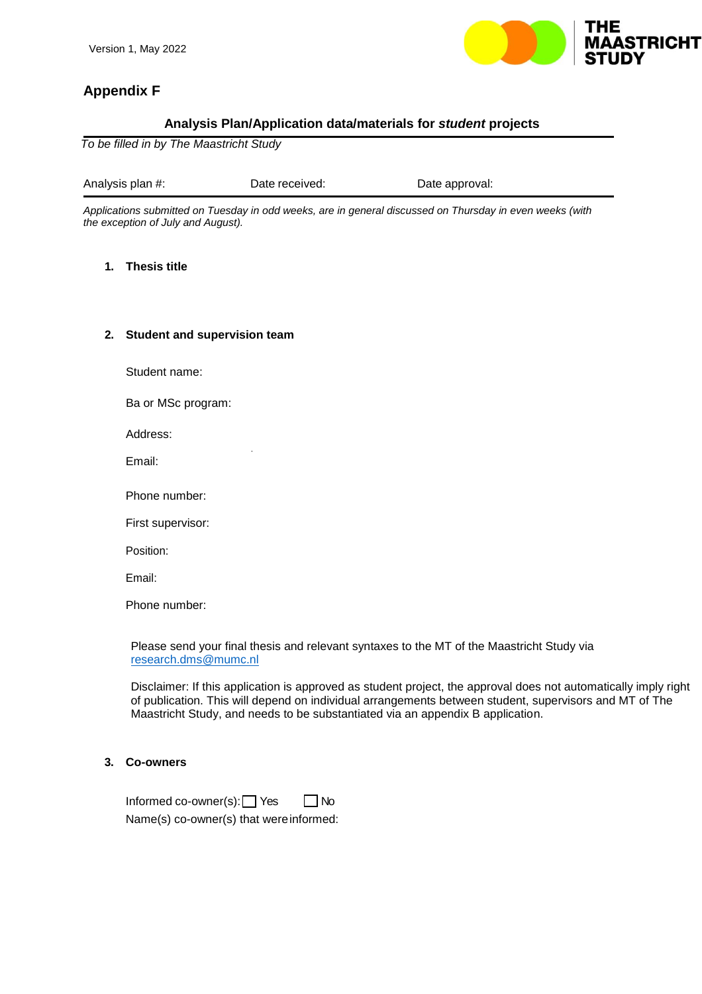

# **Appendix F**

# **Analysis Plan/Application data/materials for** *student* **projects**

*To be filled in by The Maastricht Study*

Analysis plan #: Date received: Dete approval:

.

*Applications submitted on Tuesday in odd weeks, are in general discussed on Thursday in even weeks (with the exception of July and August).*

## **1. Thesis title**

## **2. Student and supervision team**

Student name:

Ba or MSc program:

Address:

Email:

Phone number:

First supervisor:

Position:

Email:

Phone number:

Please send your final thesis and relevant syntaxes to the MT of the Maastricht Study via [research.dms@mumc.nl](mailto:research.dms@mumc.nl)

Disclaimer: If this application is approved as student project, the approval does not automatically imply right of publication. This will depend on individual arrangements between student, supervisors and MT of The Maastricht Study, and needs to be substantiated via an appendix B application.

#### **3. Co-owners**

Informed co-owner(s):  $\Box$  Yes  $\Box$  No Name(s) co-owner(s) that wereinformed: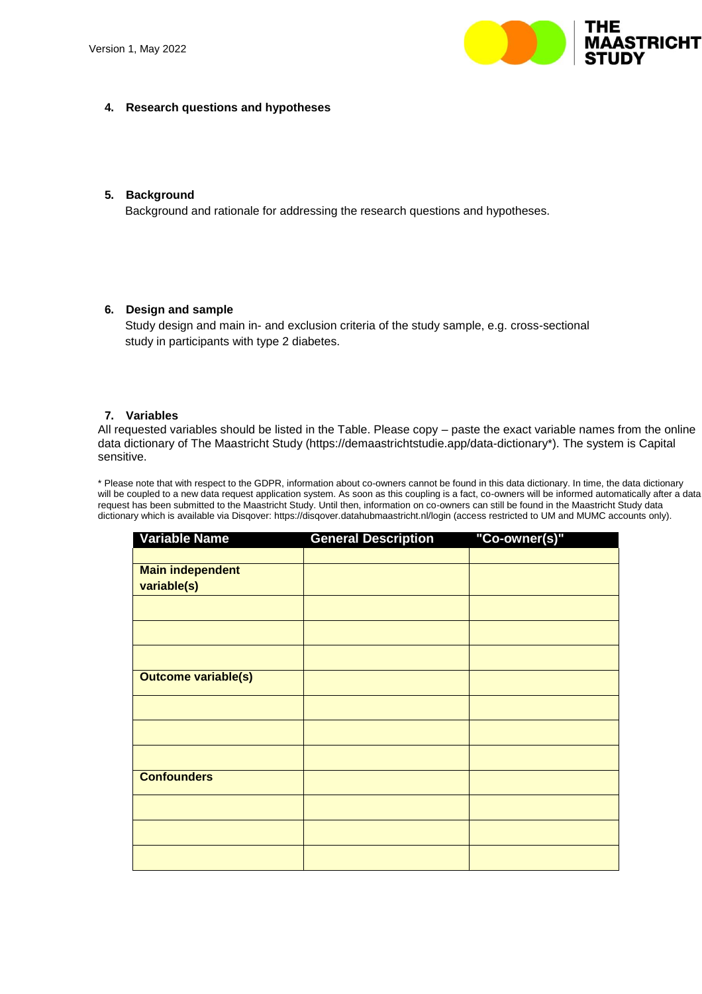

## **4. Research questions and hypotheses**

## **5. Background**

Background and rationale for addressing the research questions and hypotheses.

#### **6. Design and sample**

Study design and main in- and exclusion criteria of the study sample, e.g. cross-sectional study in participants with type 2 diabetes.

#### **7. Variables**

All requested variables should be listed in the Table. Please copy – paste the exact variable names from the online data dictionary of The Maastricht Study (https://demaastrichtstudie.app/data-dictionary\*). The system is Capital sensitive.

\* Please note that with respect to the GDPR, information about co-owners cannot be found in this data dictionary. In time, the data dictionary will be coupled to a new data request application system. As soon as this coupling is a fact, co-owners will be informed automatically after a data request has been submitted to the Maastricht Study. Until then, information on co-owners can still be found in the Maastricht Study data dictionary which is available via Disqover: https://disqover.datahubmaastricht.nl/login (access restricted to UM and MUMC accounts only).

| <b>Variable Name</b>       | <b>General Description</b> | "Co-owner(s)" |
|----------------------------|----------------------------|---------------|
|                            |                            |               |
| <b>Main independent</b>    |                            |               |
| variable(s)                |                            |               |
|                            |                            |               |
|                            |                            |               |
|                            |                            |               |
| <b>Outcome variable(s)</b> |                            |               |
|                            |                            |               |
|                            |                            |               |
|                            |                            |               |
| <b>Confounders</b>         |                            |               |
|                            |                            |               |
|                            |                            |               |
|                            |                            |               |
|                            |                            |               |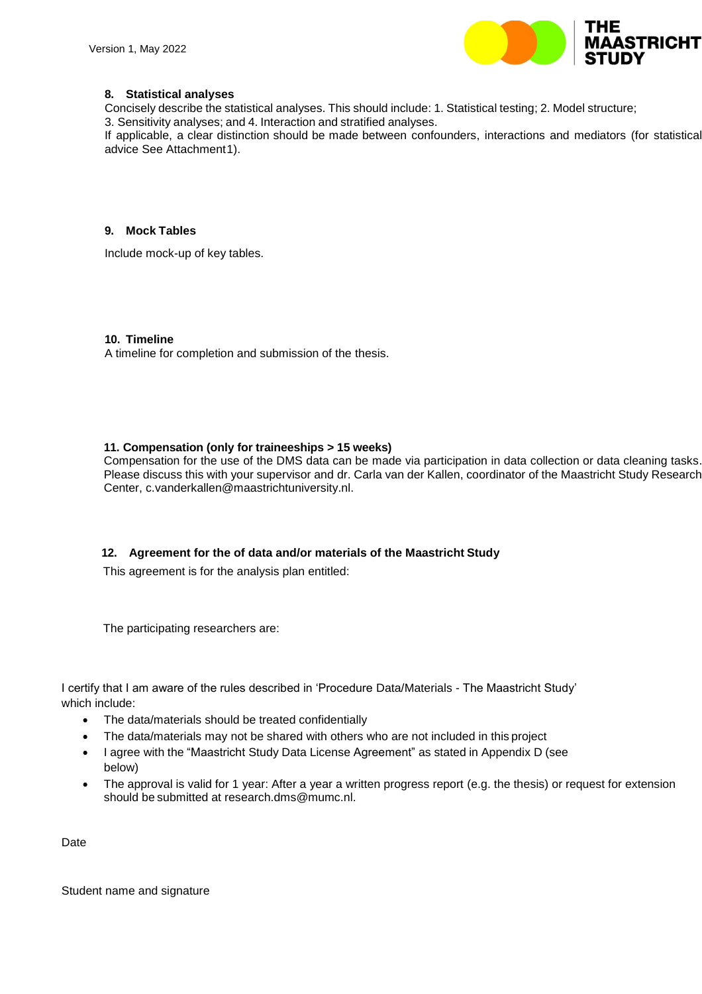

# **8. Statistical analyses**

Concisely describe the statistical analyses. This should include: 1. Statistical testing; 2. Model structure;

3. Sensitivity analyses; and 4. Interaction and stratified analyses.

If applicable, a clear distinction should be made between confounders, interactions and mediators (for statistical advice See Attachment1).

## **9. Mock Tables**

Include mock-up of key tables.

## **10. Timeline**

A timeline for completion and submission of the thesis.

## **11. Compensation (only for traineeships > 15 weeks)**

Compensation for the use of the DMS data can be made via participation in data collection or data cleaning tasks. Please discuss this with your supervisor and dr. Carla van der Kallen, coordinator of the Maastricht Study Research Center, c.vanderkallen@maastrichtuniversity.nl.

# **12. Agreement for the of data and/or materials of the Maastricht Study**

This agreement is for the analysis plan entitled:

The participating researchers are:

I certify that I am aware of the rules described in 'Procedure Data/Materials - The Maastricht Study' which include:

- The data/materials should be treated confidentially
- The data/materials may not be shared with others who are not included in this project
- I agree with the "Maastricht Study Data License Agreement" as stated in Appendix D (see below)
- The approval is valid for 1 year: After a year a written progress report (e.g. the thesis) or request for extension should be submitted at research.dms@mumc.nl.

Date

Student name and signature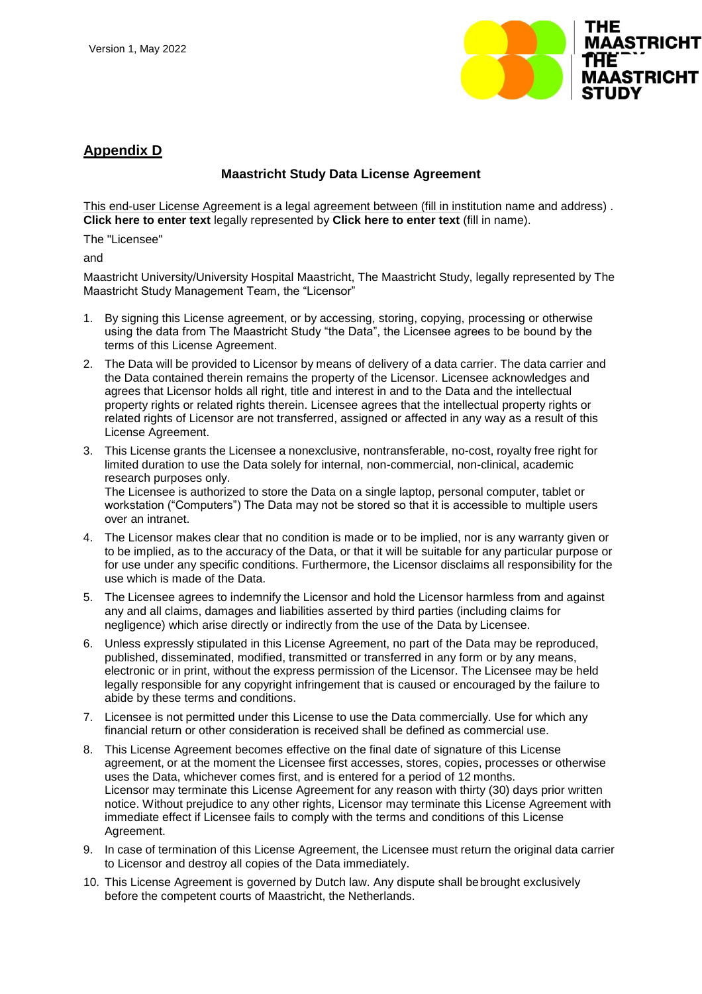

# **Appendix D**

# **Maastricht Study Data License Agreement**

This end-user License Agreement is a legal agreement between (fill in institution name and address) . **Click here to enter text** legally represented by **Click here to enter text** (fill in name).

The "Licensee"

and

Maastricht University/University Hospital Maastricht, The Maastricht Study, legally represented by The Maastricht Study Management Team, the "Licensor"

- 1. By signing this License agreement, or by accessing, storing, copying, processing or otherwise using the data from The Maastricht Study "the Data", the Licensee agrees to be bound by the terms of this License Agreement.
- 2. The Data will be provided to Licensor by means of delivery of a data carrier. The data carrier and the Data contained therein remains the property of the Licensor. Licensee acknowledges and agrees that Licensor holds all right, title and interest in and to the Data and the intellectual property rights or related rights therein. Licensee agrees that the intellectual property rights or related rights of Licensor are not transferred, assigned or affected in any way as a result of this License Agreement.
- 3. This License grants the Licensee a nonexclusive, nontransferable, no-cost, royalty free right for limited duration to use the Data solely for internal, non-commercial, non-clinical, academic research purposes only. The Licensee is authorized to store the Data on a single laptop, personal computer, tablet or

workstation ("Computers") The Data may not be stored so that it is accessible to multiple users over an intranet.

- 4. The Licensor makes clear that no condition is made or to be implied, nor is any warranty given or to be implied, as to the accuracy of the Data, or that it will be suitable for any particular purpose or for use under any specific conditions. Furthermore, the Licensor disclaims all responsibility for the use which is made of the Data.
- 5. The Licensee agrees to indemnify the Licensor and hold the Licensor harmless from and against any and all claims, damages and liabilities asserted by third parties (including claims for negligence) which arise directly or indirectly from the use of the Data by Licensee.
- 6. Unless expressly stipulated in this License Agreement, no part of the Data may be reproduced, published, disseminated, modified, transmitted or transferred in any form or by any means, electronic or in print, without the express permission of the Licensor. The Licensee may be held legally responsible for any copyright infringement that is caused or encouraged by the failure to abide by these terms and conditions.
- 7. Licensee is not permitted under this License to use the Data commercially. Use for which any financial return or other consideration is received shall be defined as commercial use.
- 8. This License Agreement becomes effective on the final date of signature of this License agreement, or at the moment the Licensee first accesses, stores, copies, processes or otherwise uses the Data, whichever comes first, and is entered for a period of 12 months. Licensor may terminate this License Agreement for any reason with thirty (30) days prior written notice. Without prejudice to any other rights, Licensor may terminate this License Agreement with immediate effect if Licensee fails to comply with the terms and conditions of this License Agreement.
- 9. In case of termination of this License Agreement, the Licensee must return the original data carrier to Licensor and destroy all copies of the Data immediately.
- 10. This License Agreement is governed by Dutch law. Any dispute shall bebrought exclusively before the competent courts of Maastricht, the Netherlands.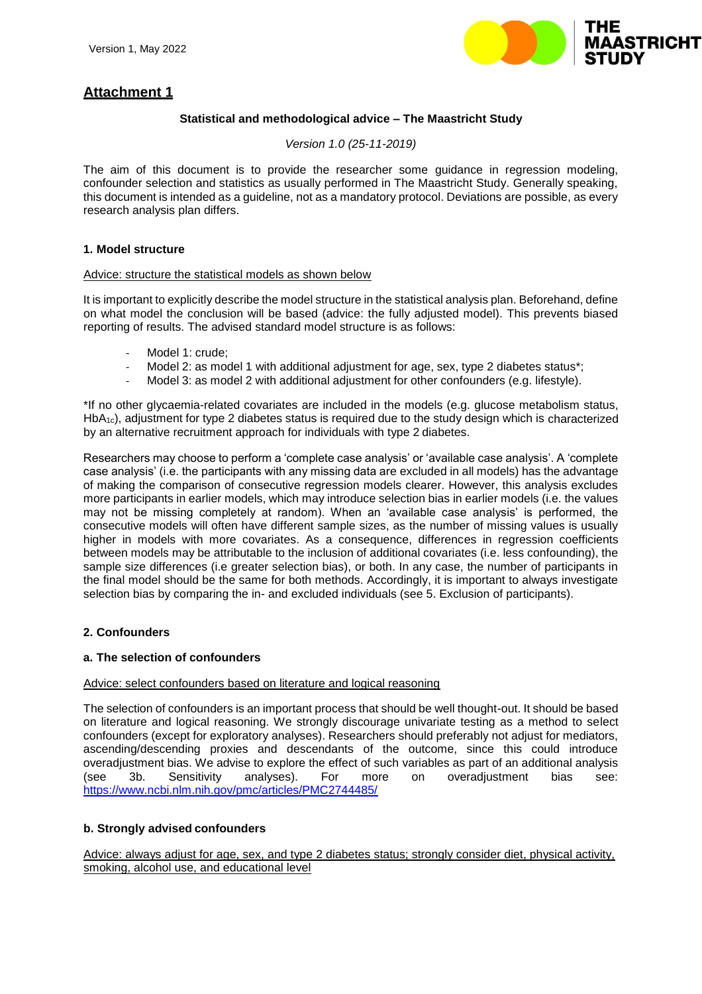

# **Attachment 1**

# **Statistical and methodological advice – The Maastricht Study**

#### *Version 1.0 (25-11-2019)*

The aim of this document is to provide the researcher some guidance in regression modeling, confounder selection and statistics as usually performed in The Maastricht Study. Generally speaking, this document is intended as a guideline, not as a mandatory protocol. Deviations are possible, as every research analysis plan differs.

## **1. Model structure**

#### Advice: structure the statistical models as shown below

It is important to explicitly describe the model structure in the statistical analysis plan. Beforehand, define on what model the conclusion will be based (advice: the fully adjusted model). This prevents biased reporting of results. The advised standard model structure is as follows:

- Model 1: crude;
- Model 2: as model 1 with additional adjustment for age, sex, type 2 diabetes status\*;
- Model 3: as model 2 with additional adjustment for other confounders (e.g. lifestyle).

\*If no other glycaemia-related covariates are included in the models (e.g. glucose metabolism status, HbA<sub>1c</sub>), adjustment for type 2 diabetes status is required due to the study design which is characterized by an alternative recruitment approach for individuals with type 2 diabetes.

Researchers may choose to perform a 'complete case analysis' or 'available case analysis'. A 'complete case analysis' (i.e. the participants with any missing data are excluded in all models) has the advantage of making the comparison of consecutive regression models clearer. However, this analysis excludes more participants in earlier models, which may introduce selection bias in earlier models (i.e. the values may not be missing completely at random). When an 'available case analysis' is performed, the consecutive models will often have different sample sizes, as the number of missing values is usually higher in models with more covariates. As a consequence, differences in regression coefficients between models may be attributable to the inclusion of additional covariates (i.e. less confounding), the sample size differences (i.e greater selection bias), or both. In any case, the number of participants in the final model should be the same for both methods. Accordingly, it is important to always investigate selection bias by comparing the in- and excluded individuals (see 5. Exclusion of participants).

# **2. Confounders**

#### **a. The selection of confounders**

#### Advice: select confounders based on literature and logical reasoning

The selection of confounders is an important process that should be well thought-out. It should be based on literature and logical reasoning. We strongly discourage univariate testing as a method to select confounders (except for exploratory analyses). Researchers should preferably not adjust for mediators, ascending/descending proxies and descendants of the outcome, since this could introduce overadjustment bias. We advise to explore the effect of such variables as part of an additional analysis (see 3b. Sensitivity analyses). For more on overadjustment bias see: https:/[/www.ncbi.nlm.nih.gov/pmc/articles/PMC2744485/](http://www.ncbi.nlm.nih.gov/pmc/articles/PMC2744485/)

#### **b. Strongly advised confounders**

Advice: always adjust for age, sex, and type 2 diabetes status; strongly consider diet, physical activity, smoking, alcohol use, and educational level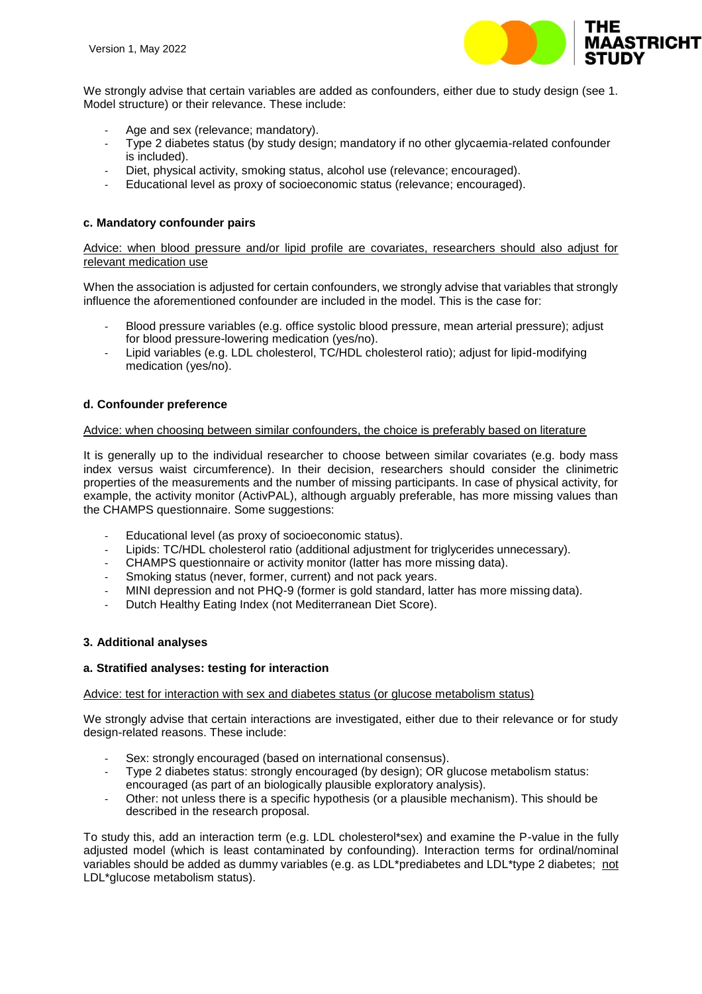

We strongly advise that certain variables are added as confounders, either due to study design (see 1. Model structure) or their relevance. These include:

- Age and sex (relevance; mandatory).
- Type 2 diabetes status (by study design; mandatory if no other glycaemia-related confounder is included).
- Diet, physical activity, smoking status, alcohol use (relevance; encouraged).
- Educational level as proxy of socioeconomic status (relevance; encouraged).

## **c. Mandatory confounder pairs**

Advice: when blood pressure and/or lipid profile are covariates, researchers should also adjust for relevant medication use

When the association is adjusted for certain confounders, we strongly advise that variables that strongly influence the aforementioned confounder are included in the model. This is the case for:

- Blood pressure variables (e.g. office systolic blood pressure, mean arterial pressure); adjust for blood pressure-lowering medication (yes/no).
- Lipid variables (e.g. LDL cholesterol, TC/HDL cholesterol ratio); adjust for lipid-modifying medication (yes/no).

#### **d. Confounder preference**

#### Advice: when choosing between similar confounders, the choice is preferably based on literature

It is generally up to the individual researcher to choose between similar covariates (e.g. body mass index versus waist circumference). In their decision, researchers should consider the clinimetric properties of the measurements and the number of missing participants. In case of physical activity, for example, the activity monitor (ActivPAL), although arguably preferable, has more missing values than the CHAMPS questionnaire. Some suggestions:

- Educational level (as proxy of socioeconomic status).
- Lipids: TC/HDL cholesterol ratio (additional adjustment for triglycerides unnecessary).
- CHAMPS questionnaire or activity monitor (latter has more missing data).
- Smoking status (never, former, current) and not pack years.
- MINI depression and not PHQ-9 (former is gold standard, latter has more missing data).
- Dutch Healthy Eating Index (not Mediterranean Diet Score).

#### **3. Additional analyses**

#### **a. Stratified analyses: testing for interaction**

#### Advice: test for interaction with sex and diabetes status (or glucose metabolism status)

We strongly advise that certain interactions are investigated, either due to their relevance or for study design-related reasons. These include:

- Sex: strongly encouraged (based on international consensus).
- Type 2 diabetes status: strongly encouraged (by design); OR glucose metabolism status: encouraged (as part of an biologically plausible exploratory analysis).
- Other: not unless there is a specific hypothesis (or a plausible mechanism). This should be described in the research proposal.

To study this, add an interaction term (e.g. LDL cholesterol\*sex) and examine the P-value in the fully adjusted model (which is least contaminated by confounding). Interaction terms for ordinal/nominal variables should be added as dummy variables (e.g. as LDL\*prediabetes and LDL\*type 2 diabetes; not LDL\*glucose metabolism status).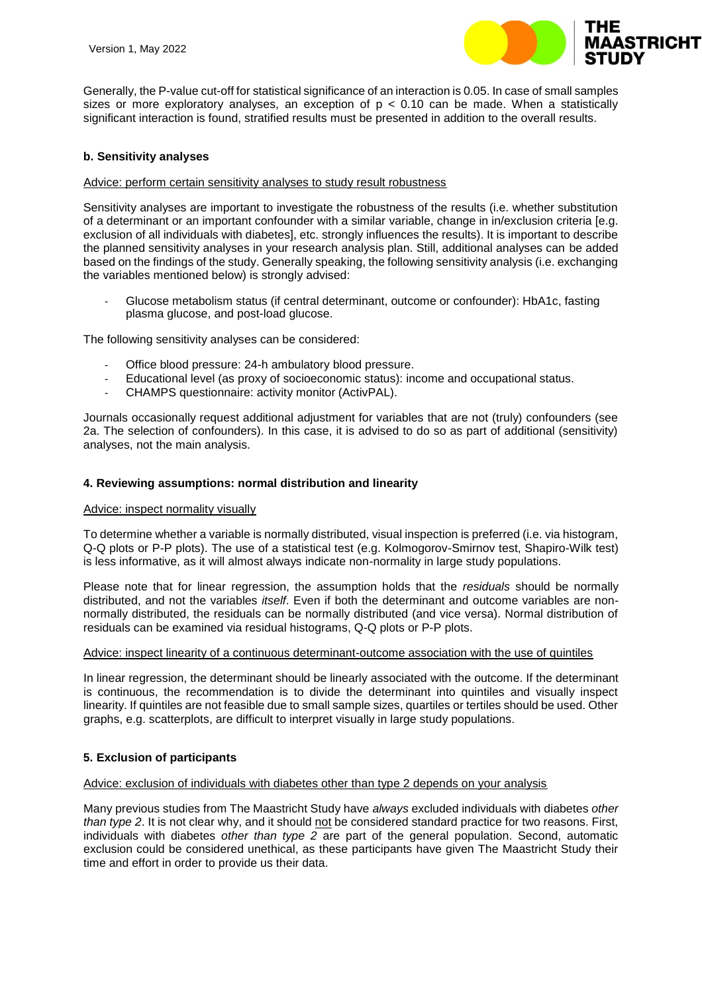

Generally, the P-value cut-off for statistical significance of an interaction is 0.05. In case of small samples sizes or more exploratory analyses, an exception of  $p < 0.10$  can be made. When a statistically significant interaction is found, stratified results must be presented in addition to the overall results.

#### **b. Sensitivity analyses**

#### Advice: perform certain sensitivity analyses to study result robustness

Sensitivity analyses are important to investigate the robustness of the results (i.e. whether substitution of a determinant or an important confounder with a similar variable, change in in/exclusion criteria [e.g. exclusion of all individuals with diabetes], etc. strongly influences the results). It is important to describe the planned sensitivity analyses in your research analysis plan. Still, additional analyses can be added based on the findings of the study. Generally speaking, the following sensitivity analysis (i.e. exchanging the variables mentioned below) is strongly advised:

- Glucose metabolism status (if central determinant, outcome or confounder): HbA1c, fasting plasma glucose, and post-load glucose.

The following sensitivity analyses can be considered:

- Office blood pressure: 24-h ambulatory blood pressure.
- Educational level (as proxy of socioeconomic status): income and occupational status.
- CHAMPS questionnaire: activity monitor (ActivPAL).

Journals occasionally request additional adjustment for variables that are not (truly) confounders (see 2a. The selection of confounders). In this case, it is advised to do so as part of additional (sensitivity) analyses, not the main analysis.

#### **4. Reviewing assumptions: normal distribution and linearity**

#### Advice: inspect normality visually

To determine whether a variable is normally distributed, visual inspection is preferred (i.e. via histogram, Q-Q plots or P-P plots). The use of a statistical test (e.g. Kolmogorov-Smirnov test, Shapiro-Wilk test) is less informative, as it will almost always indicate non-normality in large study populations.

Please note that for linear regression, the assumption holds that the *residuals* should be normally distributed, and not the variables *itself*. Even if both the determinant and outcome variables are nonnormally distributed, the residuals can be normally distributed (and vice versa). Normal distribution of residuals can be examined via residual histograms, Q-Q plots or P-P plots.

#### Advice: inspect linearity of a continuous determinant-outcome association with the use of quintiles

In linear regression, the determinant should be linearly associated with the outcome. If the determinant is continuous, the recommendation is to divide the determinant into quintiles and visually inspect linearity. If quintiles are not feasible due to small sample sizes, quartiles or tertiles should be used. Other graphs, e.g. scatterplots, are difficult to interpret visually in large study populations.

#### **5. Exclusion of participants**

## Advice: exclusion of individuals with diabetes other than type 2 depends on your analysis

Many previous studies from The Maastricht Study have *always* excluded individuals with diabetes *other than type 2*. It is not clear why, and it should not be considered standard practice for two reasons. First, individuals with diabetes *other than type 2* are part of the general population. Second, automatic exclusion could be considered unethical, as these participants have given The Maastricht Study their time and effort in order to provide us their data.